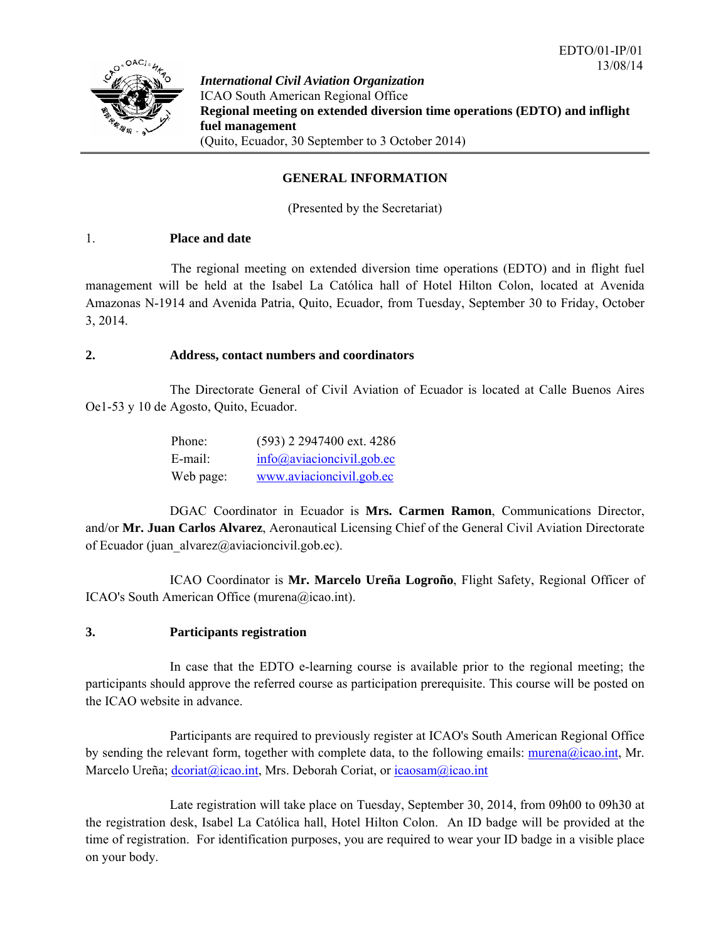

*International Civil Aviation Organization*  ICAO South American Regional Office **Regional meeting on extended diversion time operations (EDTO) and inflight fuel management**  (Quito, Ecuador, 30 September to 3 October 2014)

### **GENERAL INFORMATION**

(Presented by the Secretariat)

### 1. **Place and date**

 The regional meeting on extended diversion time operations (EDTO) and in flight fuel management will be held at the Isabel La Católica hall of Hotel Hilton Colon, located at Avenida Amazonas N-1914 and Avenida Patria, Quito, Ecuador, from Tuesday, September 30 to Friday, October 3, 2014.

### **2. Address, contact numbers and coordinators**

 The Directorate General of Civil Aviation of Ecuador is located at Calle Buenos Aires Oe1-53 y 10 de Agosto, Quito, Ecuador.

| Phone:    | (593) 2 2947400 ext. 4286  |
|-----------|----------------------------|
| E-mail:   | $info@aviacioncivil.gov$ . |
| Web page: | www.aviacioncivil.gob.ec   |

 DGAC Coordinator in Ecuador is **Mrs. Carmen Ramon**, Communications Director, and/or **Mr. Juan Carlos Alvarez**, Aeronautical Licensing Chief of the General Civil Aviation Directorate of Ecuador (juan  $alvarez@a$ viacioncivil.gob.ec).

 ICAO Coordinator is **Mr. Marcelo Ureña Logroño**, Flight Safety, Regional Officer of ICAO's South American Office (murena@icao.int).

## **3. Participants registration**

 In case that the EDTO e-learning course is available prior to the regional meeting; the participants should approve the referred course as participation prerequisite. This course will be posted on the ICAO website in advance.

 Participants are required to previously register at ICAO's South American Regional Office by sending the relevant form, together with complete data, to the following emails:  $murena@icao.int$ , Mr. Marcelo Ureña; dcoriat@icao.int, Mrs. Deborah Coriat, or icaosam@icao.int

 Late registration will take place on Tuesday, September 30, 2014, from 09h00 to 09h30 at the registration desk, Isabel La Católica hall, Hotel Hilton Colon. An ID badge will be provided at the time of registration. For identification purposes, you are required to wear your ID badge in a visible place on your body.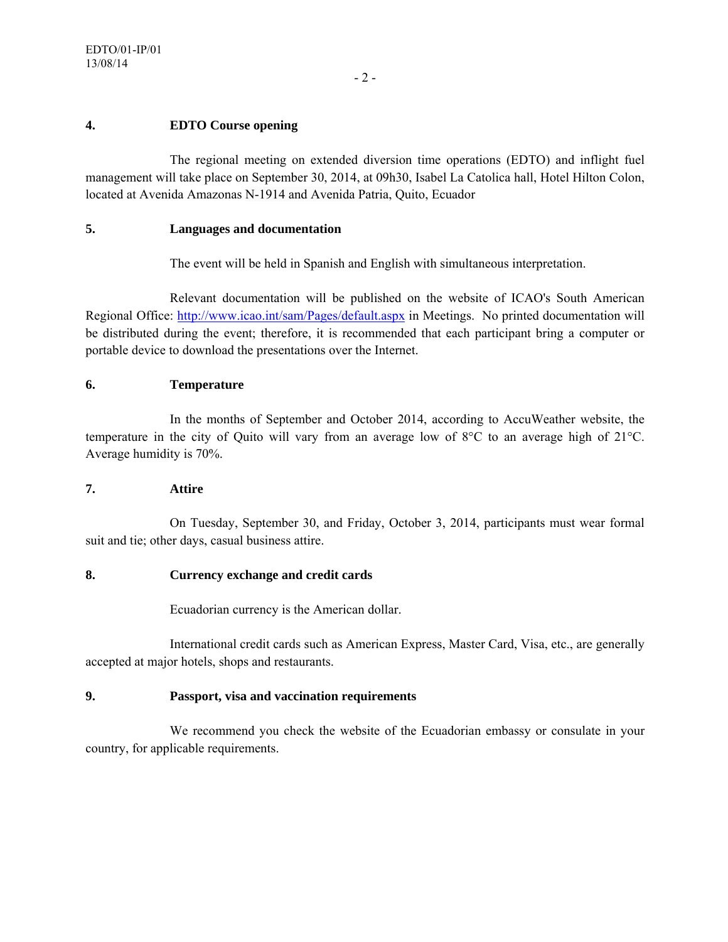## **4. EDTO Course opening**

 The regional meeting on extended diversion time operations (EDTO) and inflight fuel management will take place on September 30, 2014, at 09h30, Isabel La Catolica hall, Hotel Hilton Colon, located at Avenida Amazonas N-1914 and Avenida Patria, Quito, Ecuador

## **5. Languages and documentation**

The event will be held in Spanish and English with simultaneous interpretation.

 Relevant documentation will be published on the website of ICAO's South American Regional Office: http://www.icao.int/sam/Pages/default.aspx in Meetings. No printed documentation will be distributed during the event; therefore, it is recommended that each participant bring a computer or portable device to download the presentations over the Internet.

## **6. Temperature**

 In the months of September and October 2014, according to AccuWeather website, the temperature in the city of Quito will vary from an average low of 8°C to an average high of 21°C. Average humidity is 70%.

### **7. Attire**

 On Tuesday, September 30, and Friday, October 3, 2014, participants must wear formal suit and tie; other days, casual business attire.

### **8. Currency exchange and credit cards**

Ecuadorian currency is the American dollar.

 International credit cards such as American Express, Master Card, Visa, etc., are generally accepted at major hotels, shops and restaurants.

## **9. Passport, visa and vaccination requirements**

 We recommend you check the website of the Ecuadorian embassy or consulate in your country, for applicable requirements.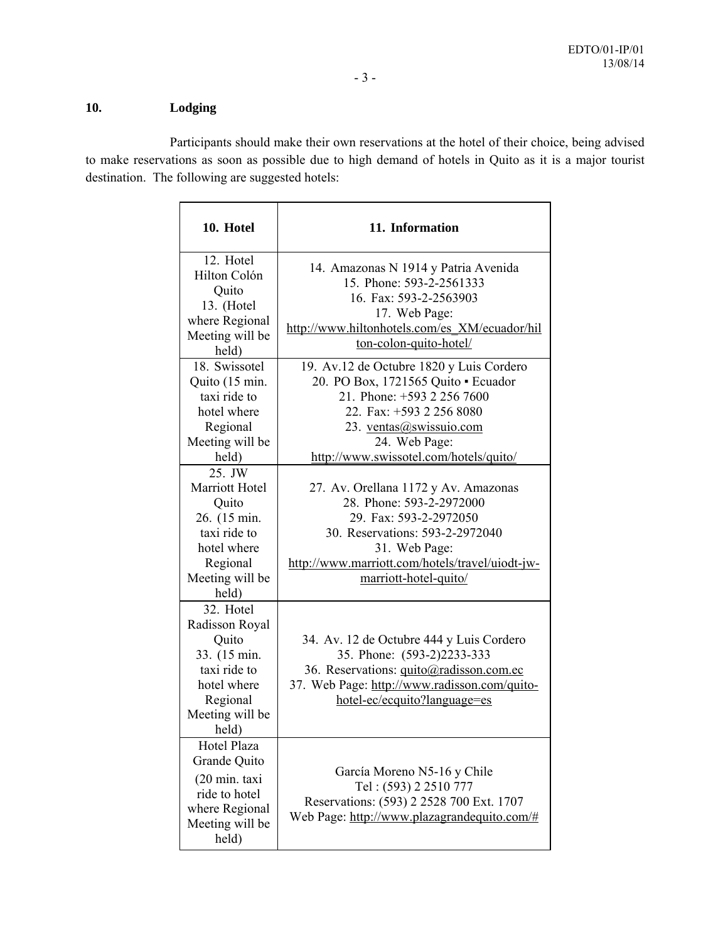# **10. Lodging**

 Participants should make their own reservations at the hotel of their choice, being advised to make reservations as soon as possible due to high demand of hotels in Quito as it is a major tourist destination. The following are suggested hotels:

| 10. Hotel                                                                                                                                                   | 11. Information                                                                                                                                                                                                                                                                                                               |  |
|-------------------------------------------------------------------------------------------------------------------------------------------------------------|-------------------------------------------------------------------------------------------------------------------------------------------------------------------------------------------------------------------------------------------------------------------------------------------------------------------------------|--|
| 12. Hotel<br>Hilton Colón<br>Quito<br>13. (Hotel<br>where Regional<br>Meeting will be<br>held)                                                              | 14. Amazonas N 1914 y Patria Avenida<br>15. Phone: 593-2-2561333<br>16. Fax: 593-2-2563903<br>17. Web Page:<br>http://www.hiltonhotels.com/es XM/ecuador/hil<br>ton-colon-quito-hotel/                                                                                                                                        |  |
| 18. Swissotel<br>Quito (15 min.<br>taxi ride to<br>hotel where<br>Regional<br>Meeting will be<br>held)<br>25. JW<br>Marriott Hotel<br>Quito<br>26. (15 min. | 19. Av.12 de Octubre 1820 y Luis Cordero<br>20. PO Box, 1721565 Quito · Ecuador<br>21. Phone: +593 2 256 7600<br>22. Fax: +593 2 256 8080<br>23. ventas@swissuio.com<br>24. Web Page:<br>http://www.swissotel.com/hotels/quito/<br>27. Av. Orellana 1172 y Av. Amazonas<br>28. Phone: 593-2-2972000<br>29. Fax: 593-2-2972050 |  |
| taxi ride to<br>hotel where<br>Regional<br>Meeting will be<br>held)                                                                                         | 30. Reservations: 593-2-2972040<br>31. Web Page:<br>http://www.marriott.com/hotels/travel/uiodt-jw-<br>marriott-hotel-quito/                                                                                                                                                                                                  |  |
| 32. Hotel<br>Radisson Royal<br>Quito<br>33. (15 min.<br>taxi ride to<br>hotel where<br>Regional<br>Meeting will be<br>held)                                 | 34. Av. 12 de Octubre 444 y Luis Cordero<br>35. Phone: (593-2)2233-333<br>36. Reservations: quito@radisson.com.ec<br>37. Web Page: http://www.radisson.com/quito-<br>hotel-ec/ecquito?language=es                                                                                                                             |  |
| Hotel Plaza<br>Grande Quito<br>(20 min. taxi<br>ride to hotel<br>where Regional<br>Meeting will be<br>held)                                                 | García Moreno N5-16 y Chile<br>Tel: (593) 2 2510 777<br>Reservations: (593) 2 2528 700 Ext. 1707<br>Web Page: http://www.plazagrandequito.com/#                                                                                                                                                                               |  |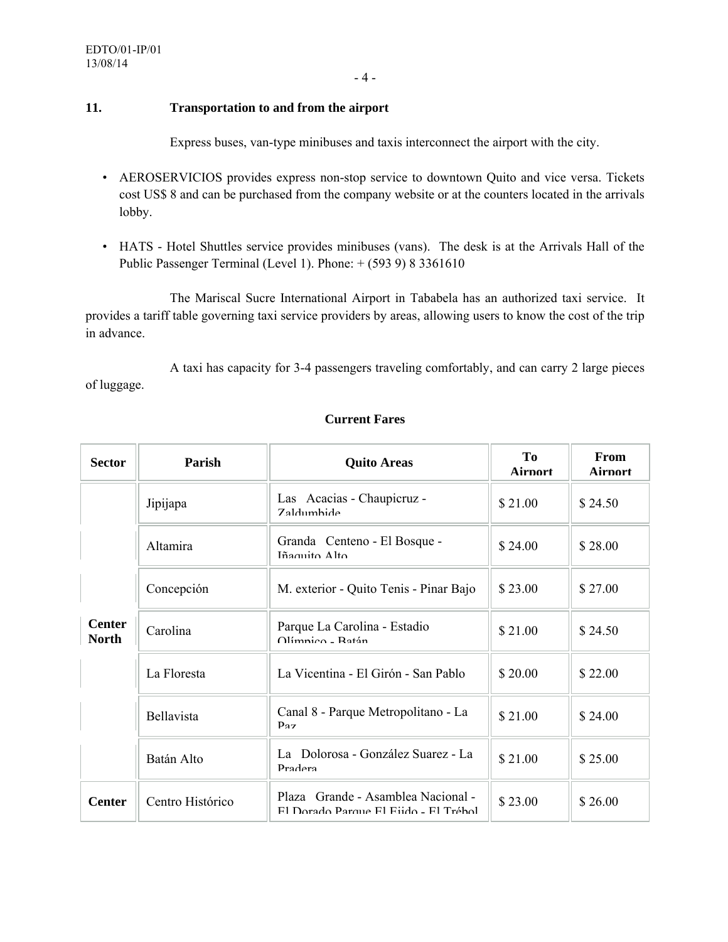- 4 -

## **11. Transportation to and from the airport**

Express buses, van-type minibuses and taxis interconnect the airport with the city.

- AEROSERVICIOS provides express non-stop service to downtown Quito and vice versa. Tickets cost US\$ 8 and can be purchased from the company website or at the counters located in the arrivals lobby.
- HATS Hotel Shuttles service provides minibuses (vans). The desk is at the Arrivals Hall of the Public Passenger Terminal (Level 1). Phone: + (593 9) 8 3361610

 The Mariscal Sucre International Airport in Tababela has an authorized taxi service. It provides a tariff table governing taxi service providers by areas, allowing users to know the cost of the trip in advance.

 A taxi has capacity for 3-4 passengers traveling comfortably, and can carry 2 large pieces of luggage.

| <b>Sector</b>                 | Parish            | <b>Quito Areas</b>                                                          | To<br><b>Airport</b> | From<br><b>Airport</b> |
|-------------------------------|-------------------|-----------------------------------------------------------------------------|----------------------|------------------------|
|                               | Jipijapa          | Las Acacias - Chaupicruz -<br><b>Zaldumbide</b>                             | \$21.00              | \$24.50                |
|                               | <b>Altamira</b>   | Granda Centeno - El Bosque -<br>Iñaquito Alto                               | \$24.00              | \$28.00                |
|                               | Concepción        | M. exterior - Quito Tenis - Pinar Bajo                                      | \$23.00              | \$27.00                |
| <b>Center</b><br><b>North</b> | Carolina          | Parque La Carolina - Estadio<br>Olímnico - Ratán                            | \$21.00              | \$24.50                |
|                               | La Floresta       | La Vicentina - El Girón - San Pablo                                         | \$20.00              | \$22.00                |
|                               | <b>Bellavista</b> | Canal 8 - Parque Metropolitano - La<br>$p_{27}$                             | \$21.00              | \$24.00                |
|                               | Batán Alto        | La Dolorosa - González Suarez - La<br>Pradera                               | \$21.00              | \$25.00                |
| <b>Center</b>                 | Centro Histórico  | Plaza Grande - Asamblea Nacional -<br>El Dorado Parque El Fijdo - El Trébol | \$23.00              | \$26.00                |

## **Current Fares**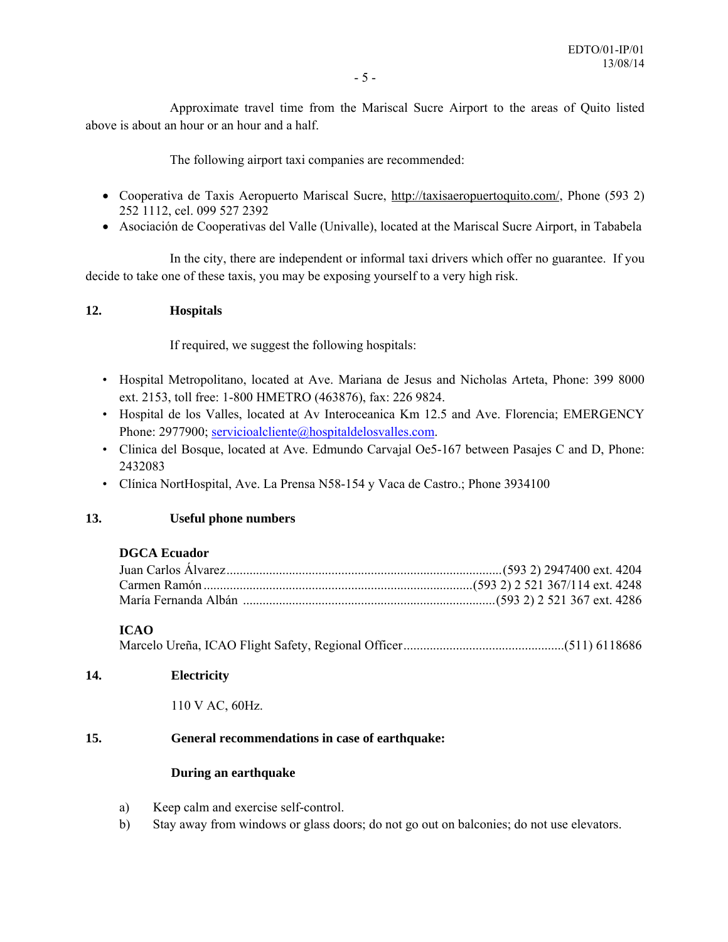Approximate travel time from the Mariscal Sucre Airport to the areas of Quito listed above is about an hour or an hour and a half.

The following airport taxi companies are recommended:

- Cooperativa de Taxis Aeropuerto Mariscal Sucre, http://taxisaeropuertoquito.com/, Phone (593 2) 252 1112, cel. 099 527 2392
- Asociación de Cooperativas del Valle (Univalle), located at the Mariscal Sucre Airport, in Tababela

 In the city, there are independent or informal taxi drivers which offer no guarantee. If you decide to take one of these taxis, you may be exposing yourself to a very high risk.

### **12. Hospitals**

If required, we suggest the following hospitals:

- Hospital Metropolitano, located at Ave. Mariana de Jesus and Nicholas Arteta, Phone: 399 8000 ext. 2153, toll free: 1-800 HMETRO (463876), fax: 226 9824.
- Hospital de los Valles, located at Av Interoceanica Km 12.5 and Ave. Florencia; EMERGENCY Phone: 2977900; servicioalcliente@hospitaldelosvalles.com.
- Clinica del Bosque, located at Ave. Edmundo Carvajal Oe5-167 between Pasajes C and D, Phone: 2432083
- Clínica NortHospital, Ave. La Prensa N58-154 y Vaca de Castro.; Phone 3934100

### **13. Useful phone numbers**

### **DGCA Ecuador**

### **ICAO**

Marcelo Ureña, ICAO Flight Safety, Regional Officer ................................................. (511) 6118686

### **14. Electricity**

110 V AC, 60Hz.

### **15. General recommendations in case of earthquake:**

### **During an earthquake**

- a) Keep calm and exercise self-control.
- b) Stay away from windows or glass doors; do not go out on balconies; do not use elevators.